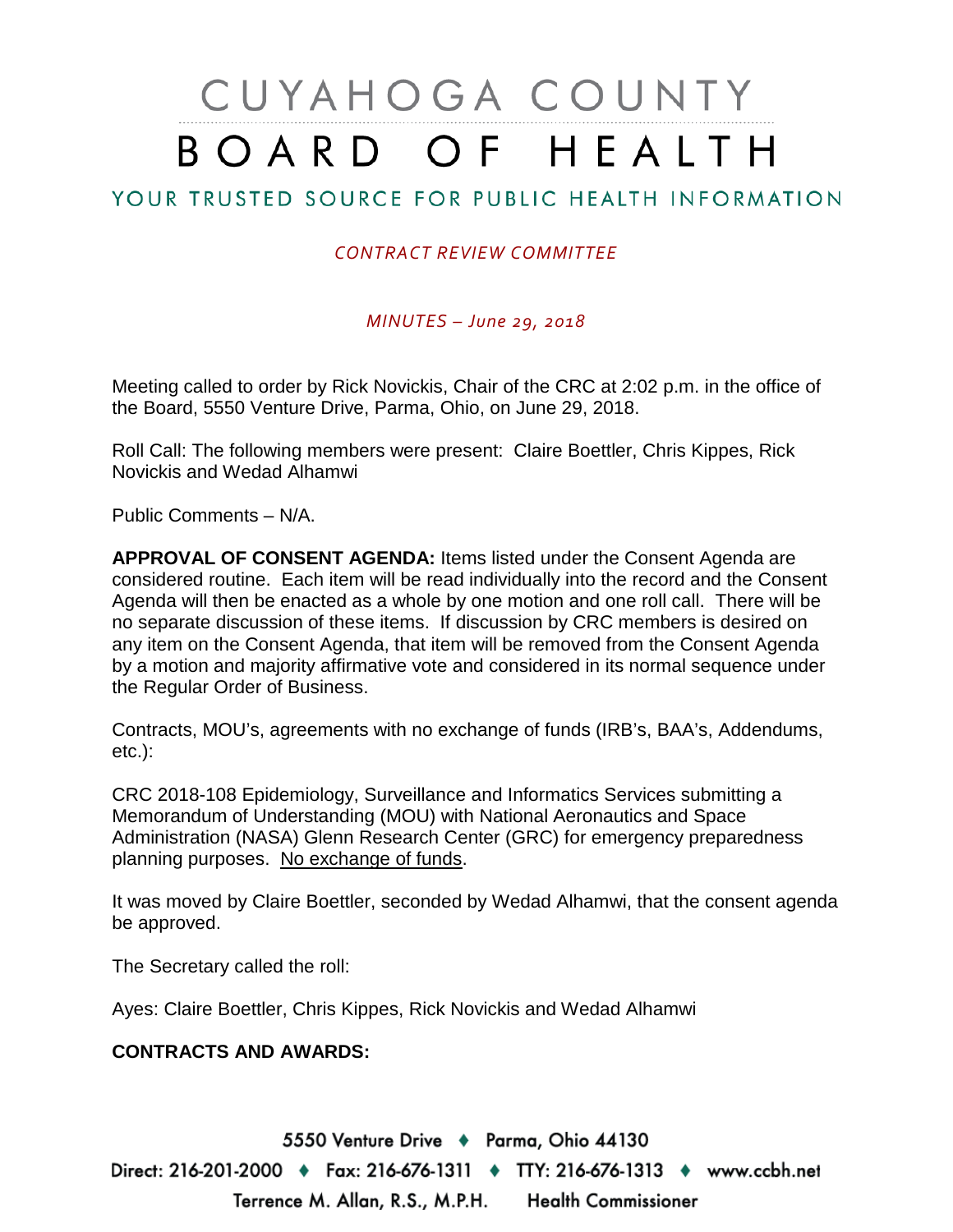# CUYAHOGA COUNTY BOARD OF HEALTH

# YOUR TRUSTED SOURCE FOR PUBLIC HEALTH INFORMATION

## *CONTRACT REVIEW COMMITTEE*

### *MINUTES – June 29, 2018*

Meeting called to order by Rick Novickis, Chair of the CRC at 2:02 p.m. in the office of the Board, 5550 Venture Drive, Parma, Ohio, on June 29, 2018.

Roll Call: The following members were present: Claire Boettler, Chris Kippes, Rick Novickis and Wedad Alhamwi

Public Comments – N/A.

**APPROVAL OF CONSENT AGENDA:** Items listed under the Consent Agenda are considered routine. Each item will be read individually into the record and the Consent Agenda will then be enacted as a whole by one motion and one roll call. There will be no separate discussion of these items. If discussion by CRC members is desired on any item on the Consent Agenda, that item will be removed from the Consent Agenda by a motion and majority affirmative vote and considered in its normal sequence under the Regular Order of Business.

Contracts, MOU's, agreements with no exchange of funds (IRB's, BAA's, Addendums, etc.):

CRC 2018-108 Epidemiology, Surveillance and Informatics Services submitting a Memorandum of Understanding (MOU) with National Aeronautics and Space Administration (NASA) Glenn Research Center (GRC) for emergency preparedness planning purposes. No exchange of funds.

It was moved by Claire Boettler, seconded by Wedad Alhamwi, that the consent agenda be approved.

The Secretary called the roll:

Ayes: Claire Boettler, Chris Kippes, Rick Novickis and Wedad Alhamwi

#### **CONTRACTS AND AWARDS:**

5550 Venture Drive + Parma, Ohio 44130 Direct: 216-201-2000 ♦ Fax: 216-676-1311 ♦ TTY: 216-676-1313 ♦ www.ccbh.net Terrence M. Allan, R.S., M.P.H. Health Commissioner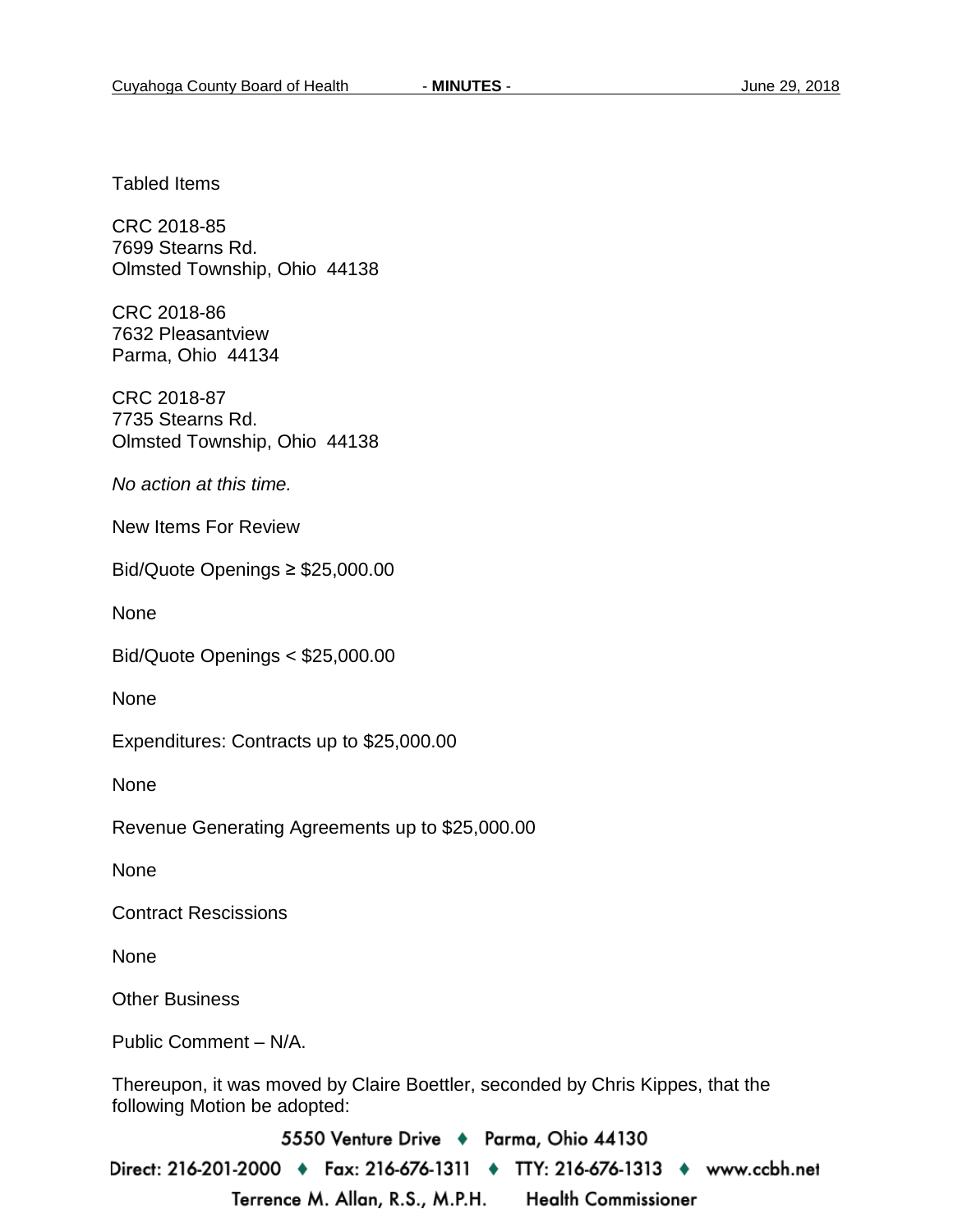Tabled Items

CRC 2018-85 7699 Stearns Rd. Olmsted Township, Ohio 44138

CRC 2018-86 7632 Pleasantview Parma, Ohio 44134

CRC 2018-87 7735 Stearns Rd. Olmsted Township, Ohio 44138

*No action at this time.*

New Items For Review

Bid/Quote Openings ≥ \$25,000.00

None

Bid/Quote Openings < \$25,000.00

**None** 

Expenditures: Contracts up to \$25,000.00

None

Revenue Generating Agreements up to \$25,000.00

None

Contract Rescissions

None

Other Business

Public Comment – N/A.

Thereupon, it was moved by Claire Boettler, seconded by Chris Kippes, that the following Motion be adopted:

5550 Venture Drive + Parma, Ohio 44130

Direct: 216-201-2000 • Fax: 216-676-1311 • TTY: 216-676-1313 • www.ccbh.net Terrence M. Allan, R.S., M.P.H. **Health Commissioner**